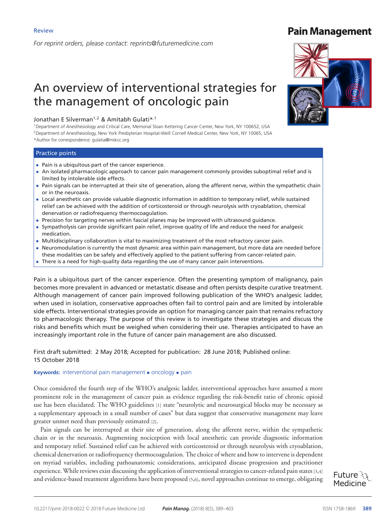*For reprint orders, please contact: reprints@futuremedicine.com*

# An overview of interventional strategies for the management of oncologic pain

## Jonathan E Silverman<sup>1,2</sup> & Amitabh Gulati\*<sup>,1</sup>

1Department of Anesthesiology and Critical Care, Memorial Sloan Kettering Cancer Center, New York, NY 100652, USA <sup>2</sup> Department of Anesthesiology, New York Presbyterian Hospital-Weill Cornell Medical Center, New York, NY 10065, USA

\*Author for correspondence: gulatia@mskcc.org

#### Practice points

- Pain is a ubiquitous part of the cancer experience.
- An isolated pharmacologic approach to cancer pain management commonly provides suboptimal relief and is limited by intolerable side effects.
- Pain signals can be interrupted at their site of generation, along the afferent nerve, within the sympathetic chain or in the neuroaxis.
- Local anesthetic can provide valuable diagnostic information in addition to temporary relief, while sustained relief can be achieved with the addition of corticosteroid or through neurolysis with cryoablation, chemical denervation or radiofrequency thermocoagulation.
- Precision for targeting nerves within fascial planes may be improved with ultrasound guidance.
- Sympatholysis can provide significant pain relief, improve quality of life and reduce the need for analgesic medication.
- Multidisciplinary collaboration is vital to maximizing treatment of the most refractory cancer pain.
- Neuromodulation is currently the most dynamic area within pain management, but more data are needed before
- these modalities can be safely and effectively applied to the patient suffering from cancer-related pain.
- There is a need for high-quality data regarding the use of many cancer pain interventions.

Pain is a ubiquitous part of the cancer experience. Often the presenting symptom of malignancy, pain becomes more prevalent in advanced or metastatic disease and often persists despite curative treatment. Although management of cancer pain improved following publication of the WHO's analgesic ladder, when used in isolation, conservative approaches often fail to control pain and are limited by intolerable side effects. Interventional strategies provide an option for managing cancer pain that remains refractory to pharmacologic therapy. The purpose of this review is to investigate these strategies and discuss the risks and benefits which must be weighed when considering their use. Therapies anticipated to have an increasingly important role in the future of cancer pain management are also discussed.

First draft submitted: 2 May 2018; Accepted for publication: 28 June 2018; Published online: 15 October 2018

#### **Keywords:** interventional pain management • oncology • pain

Once considered the fourth step of the WHO's analgesic ladder, interventional approaches have assumed a more prominent role in the management of cancer pain as evidence regarding the risk-benefit ratio of chronic opioid use has been elucidated. The WHO guidelines [1] state "neurolytic and neurosurgical blocks may be necessary as a supplementary approach in a small number of cases" but data suggest that conservative management may leave greater unmet need than previously estimated [2].

Pain signals can be interrupted at their site of generation, along the afferent nerve, within the sympathetic chain or in the neuroaxis. Augmenting nociception with local anesthetic can provide diagnostic information and temporary relief. Sustained relief can be achieved with corticosteroid or through neurolysis with cryoablation, chemical denervation or radiofrequency thermocoagulation. The choice of where and how to intervene is dependent on myriad variables, including pathoanatomic considerations, anticipated disease progression and practitioner experience. While reviews exist discussing the application of interventional strategies to cancer-related pain states [3,4] and evidence-based treatment algorithms have been proposed [5,6], novel approaches continue to emerge, obligating





## **Pain Management**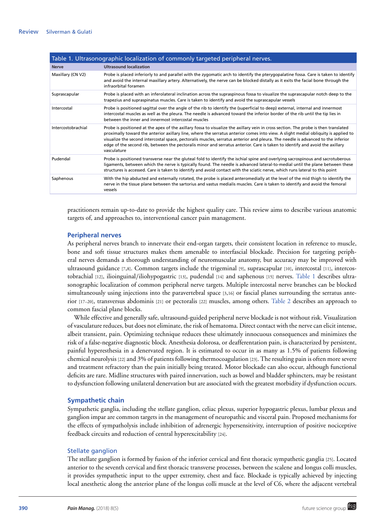| Table 1. Ultrasonographic localization of commonly targeted peripheral nerves. |                                                                                                                                                                                                                                                                                                                                                                                                                                                                                                                                                              |  |  |
|--------------------------------------------------------------------------------|--------------------------------------------------------------------------------------------------------------------------------------------------------------------------------------------------------------------------------------------------------------------------------------------------------------------------------------------------------------------------------------------------------------------------------------------------------------------------------------------------------------------------------------------------------------|--|--|
| <b>Nerve</b>                                                                   | <b>Ultrasound localization</b>                                                                                                                                                                                                                                                                                                                                                                                                                                                                                                                               |  |  |
| Maxillary (CN V2)                                                              | Probe is placed inferiorly to and parallel with the zygomatic arch to identify the pterygopalatine fossa. Care is taken to identify<br>and avoid the internal maxillary artery. Alternatively, the nerve can be blocked distally as it exits the facial bone through the<br>infraorbital foramen                                                                                                                                                                                                                                                             |  |  |
| Suprascapular                                                                  | Probe is placed with an inferolateral inclination across the supraspinous fossa to visualize the suprascapular notch deep to the<br>trapezius and supraspinatus muscles. Care is taken to identify and avoid the suprascapular vessels                                                                                                                                                                                                                                                                                                                       |  |  |
| Intercostal                                                                    | Probe is positioned sagittal over the angle of the rib to identify the (superficial to deep) external, internal and innermost<br>intercostal muscles as well as the pleura. The needle is advanced toward the inferior border of the rib until the tip lies in<br>between the inner and innermost intercostal muscles                                                                                                                                                                                                                                        |  |  |
| Intercostobrachial                                                             | Probe is positioned at the apex of the axillary fossa to visualize the axillary vein in cross section. The probe is then translated<br>proximally toward the anterior axillary line, where the serratus anterior comes into view. A slight medial obliquity is applied to<br>visualize the second intercostal space, pectoralis muscles, serratus anterior and pleura. The needle is advanced to the inferior<br>edge of the second rib, between the pectoralis minor and serratus anterior. Care is taken to identify and avoid the axillary<br>vasculature |  |  |
| Pudendal                                                                       | Probe is positioned transverse near the gluteal fold to identify the ischial spine and overlying sacrospinous and sacrotuberous<br>ligaments, between which the nerve is typically found. The needle is advanced lateral-to-medial until the plane between these<br>structures is accessed. Care is taken to identify and avoid contact with the sciatic nerve, which runs lateral to this point                                                                                                                                                             |  |  |
| Saphenous                                                                      | With the hip abducted and externally rotated, the probe is placed anteromedially at the level of the mid thigh to identify the<br>nerve in the tissue plane between the sartorius and vastus medialis muscles. Care is taken to identify and avoid the femoral<br>vessels                                                                                                                                                                                                                                                                                    |  |  |

practitioners remain up-to-date to provide the highest quality care. This review aims to describe various anatomic targets of, and approaches to, interventional cancer pain management.

## **Peripheral nerves**

As peripheral nerves branch to innervate their end-organ targets, their consistent location in reference to muscle, bone and soft tissue structures makes them amenable to interfascial blockade. Precision for targeting peripheral nerves demands a thorough understanding of neuromuscular anatomy, but accuracy may be improved with ultrasound guidance [7,8]. Common targets include the trigeminal [9], suprascapular [10], intercostal [11], intercostobrachial [12], ilioinguinal/iliohypogastric [13], pudendal [14] and saphenous [15] nerves. Table 1 describes ultrasonographic localization of common peripheral nerve targets. Multiple intercostal nerve branches can be blocked simultaneously using injections into the paravertebral space [3,16] or fascial planes surrounding the serratus anterior [17–20], transversus abdominis [21] or pectoralis [22] muscles, among others. Table 2 describes an approach to common fascial plane blocks.

While effective and generally safe, ultrasound-guided peripheral nerve blockade is not without risk. Visualization of vasculature reduces, but does not eliminate, the risk of hematoma. Direct contact with the nerve can elicit intense, albeit transient, pain. Optimizing technique reduces these ultimately innocuous consequences and minimizes the risk of a false-negative diagnostic block. Anesthesia dolorosa, or deafferentation pain, is characterized by persistent, painful hyperesthesia in a denervated region. It is estimated to occur in as many as 1.5% of patients following chemical neurolysis [22] and 3% of patients following thermocoagulation [23]. The resulting pain is often more severe and treatment refractory than the pain initially being treated. Motor blockade can also occur, although functional deficits are rare. Midline structures with paired innervation, such as bowel and bladder sphincters, may be resistant to dysfunction following unilateral denervation but are associated with the greatest morbidity if dysfunction occurs.

## **Sympathetic chain**

Sympathetic ganglia, including the stellate ganglion, celiac plexus, superior hypogastric plexus, lumbar plexus and ganglion impar are common targets in the management of neuropathic and visceral pain. Proposed mechanisms for the effects of sympatholysis include inhibition of adrenergic hypersensitivity, interruption of positive nociceptive feedback circuits and reduction of central hyperexcitability [24].

## Stellate ganglion

The stellate ganglion is formed by fusion of the inferior cervical and first thoracic sympathetic ganglia [25]. Located anterior to the seventh cervical and first thoracic transverse processes, between the scalene and longus colli muscles, it provides sympathetic input to the upper extremity, chest and face. Blockade is typically achieved by injecting local anesthetic along the anterior plane of the longus colli muscle at the level of C6, where the adjacent vertebral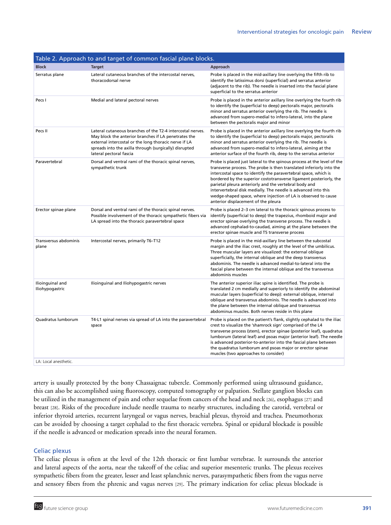| Table 2. Approach to and target of common fascial plane blocks. |                                                                                                                                                                                                                                                                  |                                                                                                                                                                                                                                                                                                                                                                                                                                                                                                                              |  |
|-----------------------------------------------------------------|------------------------------------------------------------------------------------------------------------------------------------------------------------------------------------------------------------------------------------------------------------------|------------------------------------------------------------------------------------------------------------------------------------------------------------------------------------------------------------------------------------------------------------------------------------------------------------------------------------------------------------------------------------------------------------------------------------------------------------------------------------------------------------------------------|--|
| <b>Block</b>                                                    | <b>Target</b>                                                                                                                                                                                                                                                    | Approach                                                                                                                                                                                                                                                                                                                                                                                                                                                                                                                     |  |
| Serratus plane                                                  | Lateral cutaneous branches of the intercostal nerves,<br>thoracodorsal nerve                                                                                                                                                                                     | Probe is placed in the mid-axillary line overlying the fifth rib to<br>identify the latissimus dorsi (superficial) and serratus anterior<br>(adjacent to the rib). The needle is inserted into the fascial plane<br>superficial to the serratus anterior                                                                                                                                                                                                                                                                     |  |
| Pecs I                                                          | Medial and lateral pectoral nerves                                                                                                                                                                                                                               | Probe is placed in the anterior axillary line overlying the fourth rib<br>to identify the (superficial to deep) pectoralis major, pectoralis<br>minor and serratus anterior overlying the rib. The needle is<br>advanced from supero-medial to infero-lateral, into the plane<br>between the pectoralis major and minor                                                                                                                                                                                                      |  |
| Pecs II                                                         | Lateral cutaneous branches of the T2-4 intercostal nerves.<br>May block the anterior branches if LA penetrates the<br>external intercostal or the long thoracic nerve if LA<br>spreads into the axilla through (surgically) disrupted<br>lateral pectoral fascia | Probe is placed in the anterior axillary line overlying the fourth rib<br>to identify the (superficial to deep) pectoralis major, pectoralis<br>minor and serratus anterior overlying the rib. The needle is<br>advanced from supero-medial to infero-lateral, aiming at the<br>anterior surface of the fourth rib, deep to the serratus anterior                                                                                                                                                                            |  |
| Paravertebral                                                   | Dorsal and ventral rami of the thoracic spinal nerves,<br>sympathetic trunk                                                                                                                                                                                      | Probe is placed just lateral to the spinous process at the level of the<br>transverse process. The probe is then translated inferiorly into the<br>intercostal space to identify the paravertebral space, which is<br>bordered by the superior costotransverse ligament posteriorly, the<br>parietal pleura anteriorly and the vertebral body and<br>intervertebral disk medially. The needle is advanced into this<br>wedge-shaped space, where injection of LA is observed to cause<br>anterior displacement of the pleura |  |
| Erector spinae plane                                            | Dorsal and ventral rami of the thoracic spinal nerves.<br>Possible involvement of the thoracic sympathetic fibers via<br>LA spread into the thoracic paravertebral space                                                                                         | Probe is placed 2-3 cm lateral to the thoracic spinous process to<br>identify (superficial to deep) the trapezius, rhomboid major and<br>erector spinae overlying the transverse process. The needle is<br>advanced cephalad-to-caudad, aiming at the plane between the<br>erector spinae muscle and T5 transverse process                                                                                                                                                                                                   |  |
| Transversus abdominis<br>plane                                  | Intercostal nerves, primarily T6-T12                                                                                                                                                                                                                             | Probe is placed in the mid-axillary line between the subcostal<br>margin and the iliac crest, roughly at the level of the umbilicus.<br>Three muscular layers are visualized: the external oblique<br>superficially, the internal oblique and the deep transversus<br>abdominis. The needle is advanced medial-to-lateral into the<br>fascial plane between the internal oblique and the transversus<br>abdominis muscles                                                                                                    |  |
| Ilioinguinal and<br>Iliohypogastric                             | Ilioinguinal and Iliohypogastric nerves                                                                                                                                                                                                                          | The anterior superior iliac spine is identified. The probe is<br>translated 2 cm medially and superiorly to identify the abdominal<br>muscular layers (superficial to deep): external oblique, internal<br>oblique and transversus abdominis. The needle is advanced into<br>the plane between the internal oblique and transversus<br>abdominus muscles. Both nerves reside in this plane                                                                                                                                   |  |
| Quadratus lumborum                                              | T4-L1 spinal nerves via spread of LA into the paravertebral<br>space                                                                                                                                                                                             | Probe is placed on the patient's flank, slightly cephalad to the iliac<br>crest to visualize the 'shamrock sign' comprised of the L4<br>transverse process (stem), erector spinae (posterior leaf), quadratus<br>lumborum (lateral leaf) and psoas major (anterior leaf). The needle<br>is advanced posterior-to-anterior into the fascial plane between<br>the quadratus lumborum and psoas major or erector spinae<br>muscles (two approaches to consider)                                                                 |  |
| LA: Local anesthetic.                                           |                                                                                                                                                                                                                                                                  |                                                                                                                                                                                                                                                                                                                                                                                                                                                                                                                              |  |

artery is usually protected by the bony Chassaignac tubercle. Commonly performed using ultrasound guidance, this can also be accomplished using fluoroscopy, computed tomography or palpation. Stellate ganglion blocks can be utilized in the management of pain and other sequelae from cancers of the head and neck [26], esophagus [27] and breast [28]. Risks of the procedure include needle trauma to nearby structures, including the carotid, vertebral or inferior thyroid arteries, recurrent laryngeal or vagus nerves, brachial plexus, thyroid and trachea. Pneumothorax can be avoided by choosing a target cephalad to the first thoracic vertebra. Spinal or epidural blockade is possible if the needle is advanced or medication spreads into the neural foramen.

## Celiac plexus

The celiac plexus is often at the level of the 12th thoracic or first lumbar vertebrae. It surrounds the anterior and lateral aspects of the aorta, near the takeoff of the celiac and superior mesenteric trunks. The plexus receives sympathetic fibers from the greater, lesser and least splanchnic nerves, parasympathetic fibers from the vagus nerve and sensory fibers from the phrenic and vagus nerves [29]. The primary indication for celiac plexus blockade is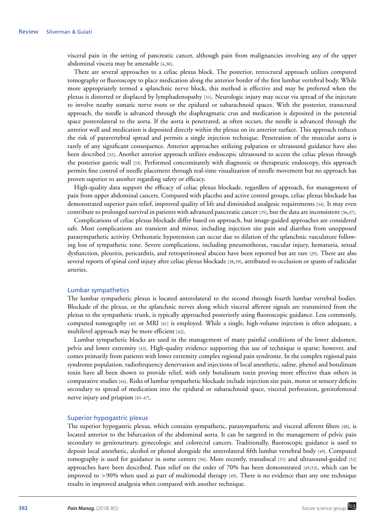visceral pain in the setting of pancreatic cancer, although pain from malignancies involving any of the upper abdominal viscera may be amenable [4,30].

There are several approaches to a celiac plexus block. The posterior, retrocrural approach utilizes computed tomography or fluoroscopy to place medication along the anterior border of the first lumbar vertebral body. While more appropriately termed a splanchnic nerve block, this method is effective and may be preferred when the plexus is distorted or displaced by lymphadenopathy [31]. Neurologic injury may occur via spread of the injectate to involve nearby somatic nerve roots or the epidural or subarachnoid spaces. With the posterior, transcrural approach, the needle is advanced through the diaphragmatic crus and medication is deposited in the potential space posterolateral to the aorta. If the aorta is penetrated, as often occurs, the needle is advanced through the anterior wall and medication is deposited directly within the plexus on its anterior surface. This approach reduces the risk of paravertebral spread and permits a single injection technique. Penetration of the muscular aorta is rarely of any significant consequence. Anterior approaches utilizing palpation or ultrasound guidance have also been described [32]. Another anterior approach utilizes endoscopic ultrasound to access the celiac plexus through the posterior gastric wall [33]. Performed concomitantly with diagnostic or therapeutic endoscopy, this approach permits fine control of needle placement through real-time visualization of needle movement but no approach has proven superior to another regarding safety or efficacy.

High-quality data support the efficacy of celiac plexus blockade, regardless of approach, for management of pain from upper abdominal cancers. Compared with placebo and active control groups, celiac plexus blockade has demonstrated superior pain relief, improved quality of life and diminished analgesic requirements [34]. It may even contribute to prolonged survival in patients with advanced pancreatic cancer [35], but the data are inconsistent [36,37].

Complications of celiac plexus blockade differ based on approach, but image-guided approaches are considered safe. Most complications are transient and minor, including injection site pain and diarrhea from unopposed parasympathetic activity. Orthostatic hypotension can occur due to dilation of the splanchnic vasculature following loss of sympathetic tone. Severe complications, including pneumothorax, vascular injury, hematuria, sexual dysfunction, pleuritis, pericarditis, and retroperitoneal abscess have been reported but are rare [29]. There are also several reports of spinal cord injury after celiac plexus blockade [38,39], attributed to occlusion or spasm of radicular arteries.

#### Lumbar sympathetics

The lumbar sympathetic plexus is located anterolateral to the second through fourth lumbar vertebral bodies. Blockade of the plexus, or the splanchnic nerves along which visceral afferent signals are transmitted from the plexus to the sympathetic trunk, is typically approached posteriorly using fluoroscopic guidance. Less commonly, computed tomography [40] or MRI [41] is employed. While a single, high-volume injection is often adequate, a multilevel approach may be more efficient [42].

Lumbar sympathetic blocks are used in the management of many painful conditions of the lower abdomen, pelvis and lower extremity [43]. High-quality evidence supporting this use of technique is sparse; however, and comes primarily from patients with lower extremity complex regional pain syndrome. In the complex regional pain syndrome population, radiofrequency denervation and injections of local anesthetic, saline, phenol and botulinum toxin have all been shown to provide relief, with only botulinum toxin proving more effective than others in comparative studies [44]. Risks of lumbar sympathetic blockade include injection site pain, motor or sensory deficits secondary to spread of medication into the epidural or subarachnoid space, visceral perforation, genitofemoral nerve injury and priapism [45–47].

#### Superior hypogastric plexus

The superior hypogastric plexus, which contains sympathetic, parasympathetic and visceral afferent fibers [48], is located anterior to the bifurcation of the abdominal aorta. It can be targeted in the management of pelvic pain secondary to genitourinary, gynecologic and colorectal cancers. Traditionally, fluoroscopic guidance is used to deposit local anesthetic, alcohol or phenol alongside the anterolateral fifth lumbar vertebral body [49]. Computed tomography is used for guidance in some centers [50]. More recently, transdiscal [51] and ultrasound-guided [52] approaches have been described. Pain relief on the order of 70% has been demonstrated [49,53], which can be improved to >90% when used as part of multimodal therapy [49]. There is no evidence than any one technique results in improved analgesia when compared with another technique.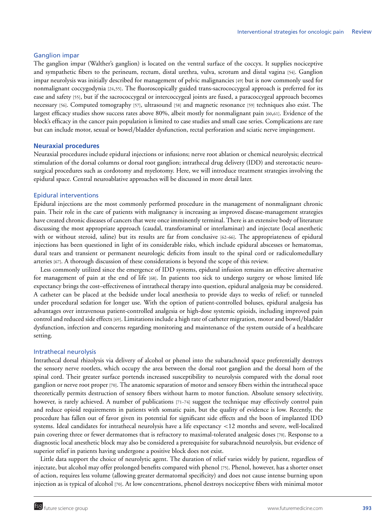## Ganglion impar

The ganglion impar (Walther's ganglion) is located on the ventral surface of the coccyx. It supplies nociceptive and sympathetic fibers to the perineum, rectum, distal urethra, vulva, scrotum and distal vagina [54]. Ganglion impar neurolysis was initially described for management of pelvic malignancies [49] but is now commonly used for nonmalignant coccygodynia [24,55]. The fluoroscopically guided trans-sacrococcygeal approach is preferred for its ease and safety [55], but if the sacrococcygeal or intercoccygeal joints are fused, a paracoccygeal approach becomes necessary [56]. Computed tomography [57], ultrasound [58] and magnetic resonance [59] techniques also exist. The largest efficacy studies show success rates above 80%, albeit mostly for nonmalignant pain [60,61]. Evidence of the block's efficacy in the cancer pain population is limited to case studies and small case series. Complications are rare but can include motor, sexual or bowel/bladder dysfunction, rectal perforation and sciatic nerve impingement.

## **Neuraxial procedures**

Neuraxial procedures include epidural injections or infusions; nerve root ablation or chemical neurolysis; electrical stimulation of the dorsal columns or dorsal root ganglion; intrathecal drug delivery (IDD) and stereotactic neurosurgical procedures such as cordotomy and myelotomy. Here, we will introduce treatment strategies involving the epidural space. Central neuroablative approaches will be discussed in more detail later.

#### Epidural interventions

Epidural injections are the most commonly performed procedure in the management of nonmalignant chronic pain. Their role in the care of patients with malignancy is increasing as improved disease-management strategies have created chronic diseases of cancers that were once imminently terminal. There is an extensive body of literature discussing the most appropriate approach (caudal, transforaminal or interlaminar) and injectate (local anesthetic with or without steroid, saline) but its results are far from conclusive [62-66]. The appropriateness of epidural injections has been questioned in light of its considerable risks, which include epidural abscesses or hematomas, dural tears and transient or permanent neurologic deficits from insult to the spinal cord or radiculomedullary arteries [67]. A thorough discussion of these considerations is beyond the scope of this review.

Less commonly utilized since the emergence of IDD systems, epidural infusion remains an effective alternative for management of pain at the end of life [68]. In patients too sick to undergo surgery or whose limited life expectancy brings the cost–effectiveness of intrathecal therapy into question, epidural analgesia may be considered. A catheter can be placed at the bedside under local anesthesia to provide days to weeks of relief; or tunneled under procedural sedation for longer use. With the option of patient-controlled boluses, epidural analgesia has advantages over intravenous patient-controlled analgesia or high-dose systemic opioids, including improved pain control and reduced side effects [69]. Limitations include a high rate of catheter migration, motor and bowel/bladder dysfunction, infection and concerns regarding monitoring and maintenance of the system outside of a healthcare setting.

#### Intrathecal neurolysis

Intrathecal dorsal rhizolysis via delivery of alcohol or phenol into the subarachnoid space preferentially destroys the sensory nerve rootlets, which occupy the area between the dorsal root ganglion and the dorsal horn of the spinal cord. Their greater surface portends increased susceptibility to neurolysis compared with the dorsal root ganglion or nerve root proper [70]. The anatomic separation of motor and sensory fibers within the intrathecal space theoretically permits destruction of sensory fibers without harm to motor function. Absolute sensory selectivity, however, is rarely achieved. A number of publications [71–74] suggest the technique may effectively control pain and reduce opioid requirements in patients with somatic pain, but the quality of evidence is low. Recently, the procedure has fallen out of favor given its potential for significant side effects and the boon of implanted IDD systems. Ideal candidates for intrathecal neurolysis have a life expectancy <12 months and severe, well-localized pain covering three or fewer dermatomes that is refractory to maximal-tolerated analgesic doses [70]. Response to a diagnostic local anesthetic block may also be considered a prerequisite for subarachnoid neurolysis, but evidence of superior relief in patients having undergone a positive block does not exist.

Little data support the choice of neurolytic agent. The duration of relief varies widely by patient, regardless of injectate, but alcohol may offer prolonged benefits compared with phenol [75]. Phenol, however, has a shorter onset of action, requires less volume (allowing greater dermatomal specificity) and does not cause intense burning upon injection as is typical of alcohol [70]. At low concentrations, phenol destroys nociceptive fibers with minimal motor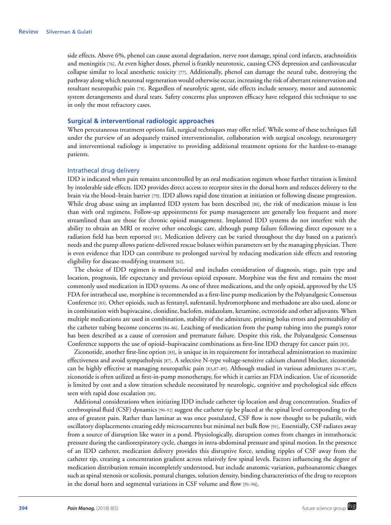side effects. Above 6%, phenol can cause axonal degradation, nerve root damage, spinal cord infarcts, arachnoiditis and meningitis [76]. At even higher doses, phenol is frankly neurotoxic, causing CNS depression and cardiovascular collapse similar to local anesthetic toxicity [77]. Additionally, phenol can damage the neural tube, destroying the pathway along which neuronal regeneration would otherwise occur, increasing the risk of aberrant reinnervation and resultant neuropathic pain [78]. Regardless of neurolytic agent, side effects include sensory, motor and autonomic system derangements and dural tears. Safety concerns plus unproven efficacy have relegated this technique to use in only the most refractory cases.

## **Surgical & interventional radiologic approaches**

When percutaneous treatment options fail, surgical techniques may offer relief. While some of these techniques fall under the purview of an adequately trained interventionalist, collaboration with surgical oncology, neurosurgery and interventional radiology is imperative to providing additional treatment options for the hardest-to-manage patients.

#### Intrathecal drug delivery

IDD is indicated when pain remains uncontrolled by an oral medication regimen whose further titration is limited by intolerable side effects. IDD provides direct access to receptor sites in the dorsal horn and reduces delivery to the brain via the blood–brain barrier [79]. IDD allows rapid dose titration at initiation or following disease progression. While drug abuse using an implanted IDD system has been described [80], the risk of medication misuse is less than with oral regimens. Follow-up appointments for pump management are generally less frequent and more streamlined than are those for chronic opioid management. Implanted IDD systems do not interfere with the ability to obtain an MRI or receive other oncologic care, although pump failure following direct exposure to a radiation field has been reported [81]. Medication delivery can be varied throughout the day based on a patient's needs and the pump allows patient-delivered rescue boluses within parameters set by the managing physician. There is even evidence that IDD can contribute to prolonged survival by reducing medication side effects and restoring eligibility for disease-modifying treatment [82].

The choice of IDD regimen is multifactorial and includes consideration of diagnosis, stage, pain type and location, prognosis, life expectancy and previous opioid exposure. Morphine was the first and remains the most commonly used medication in IDD systems. As one of three medications, and the only opioid, approved by the US FDA for intrathecal use, morphine is recommended as a first-line pump medication by the Polyanalgesic Consensus Conference [83]. Other opioids, such as fentanyl, sufentanil, hydromorphone and methadone are also used, alone or in combination with bupivacaine, clonidine, baclofen, midazolam, ketamine, octreotide and other adjuvants. When multiple medications are used in combination, stability of the admixture, priming bolus errors and permeability of the catheter tubing become concerns [84–86]. Leaching of medication from the pump tubing into the pump's rotor has been described as a cause of corrosion and premature failure. Despite this risk, the Polyanalgesic Consensus Conference supports the use of opioid–bupivacaine combinations as first-line IDD therapy for cancer pain [83].

Ziconotide, another first-line option [83], is unique in its requirement for intrathecal administration to maximize effectiveness and avoid sympatholysis [87]. A selective N-type voltage-sensitive calcium channel blocker, ziconotide can be highly effective at managing neuropathic pain [83,87–89]. Although studied in various admixtures [84–87,89], ziconotide is often utilized as first-in-pump monotherapy, for which it carries an FDA indication. Use of ziconotide is limited by cost and a slow titration schedule necessitated by neurologic, cognitive and psychological side effects seen with rapid dose escalation [88].

Additional considerations when initiating IDD include catheter tip location and drug concentration. Studies of cerebrospinal fluid (CSF) dynamics [90–92] suggest the catheter tip be placed at the spinal level corresponding to the area of greatest pain. Rather than laminar as was once postulated, CSF flow is now thought to be pulsatile, with oscillatory displacements creating eddy microcurrents but minimal net bulk flow [91]. Essentially, CSF radiates away from a source of disruption like water in a pond. Physiologically, disruption comes from changes in intrathoracic pressure during the cardiorespiratory cycle, changes in intra-abdominal pressure and spinal motion. In the presence of an IDD catheter, medication delivery provides this disruptive force, sending ripples of CSF away from the catheter tip, creating a concentration gradient across relatively few spinal levels. Factors influencing the degree of medication distribution remain incompletely understood, but include anatomic variation, pathoanatomic changes such as spinal stenosis or scoliosis, postural changes, solution density, binding characteristics of the drug to receptors in the dorsal horn and segmental variations in CSF volume and flow [91–94].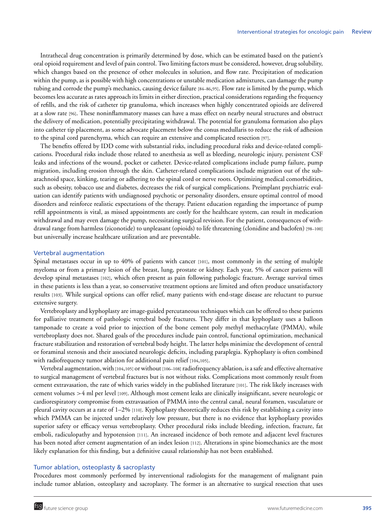Intrathecal drug concentration is primarily determined by dose, which can be estimated based on the patient's oral opioid requirement and level of pain control. Two limiting factors must be considered, however, drug solubility, which changes based on the presence of other molecules in solution, and flow rate. Precipitation of medication within the pump, as is possible with high concentrations or unstable medication admixtures, can damage the pump tubing and corrode the pump's mechanics, causing device failure [84–86,95]. Flow rate is limited by the pump, which becomes less accurate as rates approach its limits in either direction, practical considerations regarding the frequency of refills, and the risk of catheter tip granuloma, which increases when highly concentrated opioids are delivered at a slow rate [96]. These noninflammatory masses can have a mass effect on nearby neural structures and obstruct the delivery of medication, potentially precipitating withdrawal. The potential for granuloma formation also plays into catheter tip placement, as some advocate placement below the conus medullaris to reduce the risk of adhesion to the spinal cord parenchyma, which can require an extensive and complicated resection [97].

The benefits offered by IDD come with substantial risks, including procedural risks and device-related complications. Procedural risks include those related to anesthesia as well as bleeding, neurologic injury, persistent CSF leaks and infections of the wound, pocket or catheter. Device-related complications include pump failure, pump migration, including erosion through the skin. Catheter-related complications include migration out of the subarachnoid space, kinking, tearing or adhering to the spinal cord or nerve roots. Optimizing medical comorbidities, such as obesity, tobacco use and diabetes, decreases the risk of surgical complications. Preimplant psychiatric evaluation can identify patients with undiagnosed psychotic or personality disorders, ensure optimal control of mood disorders and reinforce realistic expectations of the therapy. Patient education regarding the importance of pump refill appointments is vital, as missed appointments are costly for the healthcare system, can result in medication withdrawal and may even damage the pump, necessitating surgical revision. For the patient, consequences of withdrawal range from harmless (ziconotide) to unpleasant (opioids) to life threatening (clonidine and baclofen) [98–100] but universally increase healthcare utilization and are preventable.

## Vertebral augmentation

Spinal metastases occur in up to 40% of patients with cancer [101], most commonly in the setting of multiple myeloma or from a primary lesion of the breast, lung, prostate or kidney. Each year, 5% of cancer patients will develop spinal metastases [102], which often present as pain following pathologic fracture. Average survival times in these patients is less than a year, so conservative treatment options are limited and often produce unsatisfactory results [103]. While surgical options can offer relief, many patients with end-stage disease are reluctant to pursue extensive surgery.

Vertebroplasty and kyphoplasty are image-guided percutaneous techniques which can be offered to these patients for palliative treatment of pathologic vertebral body fractures. They differ in that kyphoplasty uses a balloon tamponade to create a void prior to injection of the bone cement poly methyl methacrylate (PMMA), while vertebroplasty does not. Shared goals of the procedures include pain control, functional optimization, mechanical fracture stabilization and restoration of vertebral body height. The latter helps minimize the development of central or foraminal stenosis and their associated neurologic deficits, including paraplegia. Kyphoplasty is often combined with radiofrequency tumor ablation for additional pain relief [104,105].

Vertebral augmentation, with [104,105] or without [106-108] radiofrequency ablation, is a safe and effective alternative to surgical management of vertebral fractures but is not without risks. Complications most commonly result from cement extravasation, the rate of which varies widely in the published literature [101]. The risk likely increases with cement volumes >4 ml per level [109]. Although most cement leaks are clinically insignificant, severe neurologic or cardiorespiratory compromise from extravasation of PMMA into the central canal, neural foramen, vasculature or pleural cavity occurs at a rate of 1–2% [110]. Kyphoplasty theoretically reduces this risk by establishing a cavity into which PMMA can be injected under relatively low pressure, but there is no evidence that kyphoplasty provides superior safety or efficacy versus vertebroplasty. Other procedural risks include bleeding, infection, fracture, fat emboli, radiculopathy and hypotension [111]. An increased incidence of both remote and adjacent level fractures has been noted after cement augmentation of an index lesion [112]. Alterations in spine biomechanics are the most likely explanation for this finding, but a definitive causal relationship has not been established.

## Tumor ablation, osteoplasty & sacroplasty

Procedures most commonly performed by interventional radiologists for the management of malignant pain include tumor ablation, osteoplasty and sacroplasty. The former is an alternative to surgical resection that uses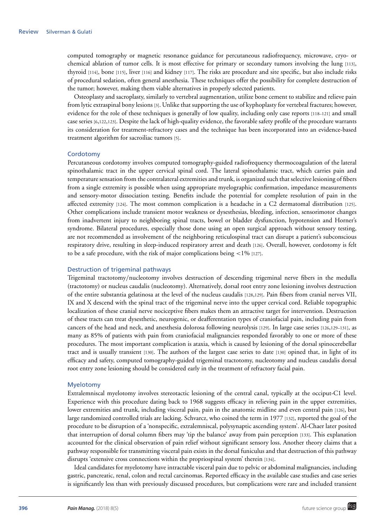computed tomography or magnetic resonance guidance for percutaneous radiofrequency, microwave, cryo- or chemical ablation of tumor cells. It is most effective for primary or secondary tumors involving the lung [113], thyroid [114], bone [115], liver [116] and kidney [117]. The risks are procedure and site specific, but also include risks of procedural sedation, often general anesthesia. These techniques offer the possibility for complete destruction of the tumor; however, making them viable alternatives in properly selected patients.

Osteoplasty and sacroplasty, similarly to vertebral augmentation, utilize bone cement to stabilize and relieve pain from lytic extraspinal bony lesions [3]. Unlike that supporting the use of kyphoplasty for vertebral fractures; however, evidence for the role of these techniques is generally of low quality, including only case reports [118–121] and small case series [6,122,123]. Despite the lack of high-quality evidence, the favorable safety profile of the procedure warrants its consideration for treatment-refractory cases and the technique has been incorporated into an evidence-based treatment algorithm for sacroiliac tumors [5].

## **Cordotomy**

Percutaneous cordotomy involves computed tomography-guided radiofrequency thermocoagulation of the lateral spinothalamic tract in the upper cervical spinal cord. The lateral spinothalamic tract, which carries pain and temperature sensation from the contralateral extremities and trunk, is organized such that selective lesioning of fibers from a single extremity is possible when using appropriate myelographic confirmation, impedance measurements and sensory-motor dissociation testing. Benefits include the potential for complete resolution of pain in the affected extremity [124]. The most common complication is a headache in a C2 dermatomal distribution [125]. Other complications include transient motor weakness or dysesthesias, bleeding, infection, sensorimotor changes from inadvertent injury to neighboring spinal tracts, bowel or bladder dysfunction, hypotension and Horner's syndrome. Bilateral procedures, especially those done using an open surgical approach without sensory testing, are not recommended as involvement of the neighboring reticulospinal tract can disrupt a patient's subconscious respiratory drive, resulting in sleep-induced respiratory arrest and death [126]. Overall, however, cordotomy is felt to be a safe procedure, with the risk of major complications being <1% [127].

## Destruction of trigeminal pathways

Trigeminal tractotomy/nucleotomy involves destruction of descending trigeminal nerve fibers in the medulla (tractotomy) or nucleus caudalis (nucleotomy). Alternatively, dorsal root entry zone lesioning involves destruction of the entire substantia gelatinosa at the level of the nucleus caudalis [128,129]. Pain fibers from cranial nerves VII, IX and X descend with the spinal tract of the trigeminal nerve into the upper cervical cord. Reliable topographic localization of these cranial nerve nociceptive fibers makes them an attractive target for intervention. Destruction of these tracts can treat dysesthetic, neurogenic, or deafferentation types of craniofacial pain, including pain from cancers of the head and neck, and anesthesia dolorosa following neurolysis [129]. In large case series [126,129–131], as many as 85% of patients with pain from craniofacial malignancies responded favorably to one or more of these procedures. The most important complication is ataxia, which is caused by lesioning of the dorsal spinocerebellar tract and is usually transient [130]. The authors of the largest case series to date [130] opined that, in light of its efficacy and safety, computed tomography-guided trigeminal tractotomy, nucleotomy and nucleus caudalis dorsal root entry zone lesioning should be considered early in the treatment of refractory facial pain.

#### Myelotomy

Extralemniscal myelotomy involves stereotactic lesioning of the central canal, typically at the occiput-C1 level. Experience with this procedure dating back to 1968 suggests efficacy in relieving pain in the upper extremities, lower extremities and trunk, including visceral pain, pain in the anatomic midline and even central pain [126], but large randomized controlled trials are lacking. Schvarcz, who coined the term in 1977 [132], reported the goal of the procedure to be disruption of a 'nonspecific, extralemniscal, polysynaptic ascending system'. Al-Chaer later posited that interruption of dorsal column fibers may 'tip the balance' away from pain perception [133]. This explanation accounted for the clinical observation of pain relief without significant sensory loss. Another theory claims that a pathway responsible for transmitting visceral pain exists in the dorsal funiculus and that destruction of this pathway disrupts 'extensive cross connections within the propriospinal system' therein [134].

Ideal candidates for myelotomy have intractable visceral pain due to pelvic or abdominal malignancies, including gastric, pancreatic, renal, colon and rectal carcinomas. Reported efficacy in the available case studies and case series is significantly less than with previously discussed procedures, but complications were rare and included transient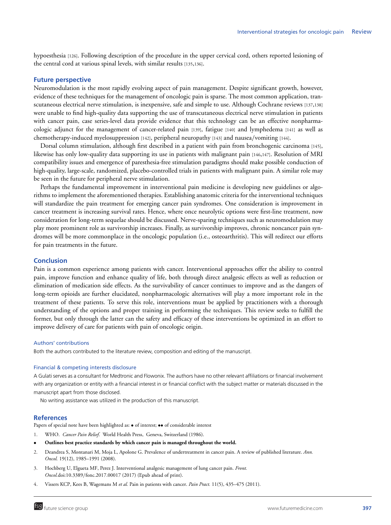hypoesthesia [126]. Following description of the procedure in the upper cervical cord, others reported lesioning of the central cord at various spinal levels, with similar results [135,136].

#### **Future perspective**

Neuromodulation is the most rapidly evolving aspect of pain management. Despite significant growth, however, evidence of these techniques for the management of oncologic pain is sparse. The most common application, transcutaneous electrical nerve stimulation, is inexpensive, safe and simple to use. Although Cochrane reviews [137,138] were unable to find high-quality data supporting the use of transcutaneous electrical nerve stimulation in patients with cancer pain, case series-level data provide evidence that this technology can be an effective nonpharmacologic adjunct for the management of cancer-related pain [139], fatigue [140] and lymphedema [141] as well as chemotherapy-induced myelosuppression [142], peripheral neuropathy [143] and nausea/vomiting [144].

Dorsal column stimulation, although first described in a patient with pain from bronchogenic carcinoma [145], likewise has only low-quality data supporting its use in patients with malignant pain [146,147]. Resolution of MRI compatibility issues and emergence of paresthesia-free stimulation paradigms should make possible conduction of high-quality, large-scale, randomized, placebo-controlled trials in patients with malignant pain. A similar role may be seen in the future for peripheral nerve stimulation.

Perhaps the fundamental improvement in interventional pain medicine is developing new guidelines or algorithms to implement the aforementioned therapies. Establishing anatomic criteria for the interventional techniques will standardize the pain treatment for emerging cancer pain syndromes. One consideration is improvement in cancer treatment is increasing survival rates. Hence, where once neurolytic options were first-line treatment, now consideration for long-term sequelae should be discussed. Nerve-sparing techniques such as neuromodulation may play more prominent role as survivorship increases. Finally, as survivorship improves, chronic noncancer pain syndromes will be more commonplace in the oncologic population (i.e., osteoarthritis). This will redirect our efforts for pain treatments in the future.

#### **Conclusion**

Pain is a common experience among patients with cancer. Interventional approaches offer the ability to control pain, improve function and enhance quality of life, both through direct analgesic effects as well as reduction or elimination of medication side effects. As the survivability of cancer continues to improve and as the dangers of long-term opioids are further elucidated, nonpharmacologic alternatives will play a more important role in the treatment of these patients. To serve this role, interventions must be applied by practitioners with a thorough understanding of the options and proper training in performing the techniques. This review seeks to fulfill the former, but only through the latter can the safety and efficacy of these interventions be optimized in an effort to improve delivery of care for patients with pain of oncologic origin.

#### Authors' contributions

Both the authors contributed to the literature review, composition and editing of the manuscript.

#### Financial & competing interests disclosure

A Gulati serves as a consultant for Medtronic and Flowonix. The authors have no other relevant affiliations or financial involvement with any organization or entity with a financial interest in or financial conflict with the subject matter or materials discussed in the manuscript apart from those disclosed.

No writing assistance was utilized in the production of this manuscript.

#### **References**

Papers of special note have been highlighted as:  $\bullet$  of interest;  $\bullet\bullet$  of considerable interest

- 1. WHO. *Cancer Pain Relief*. World Health Press, Geneva, Switzerland (1986).
- **Outlines best practice standards by which cancer pain is managed throughout the world.**
- 2. Deandrea S, Montanari M, Moja L, Apolone G. Prevalence of undertreatment in cancer pain. A review of published literature. *Ann. Oncol.* 19(12), 1985–1991 (2008).
- 3. Hochberg U, Elgueta MF, Perez J. Interventional analgesic management of lung cancer pain. *Front. Oncol.*doi:10.3389/fonc.2017.00017 (2017) (Epub ahead of print).
- 4. Vissers KCP, Kees B, Wagemans M *et al.* Pain in patients with cancer. *Pain Pract.* 11(5), 435–475 (2011).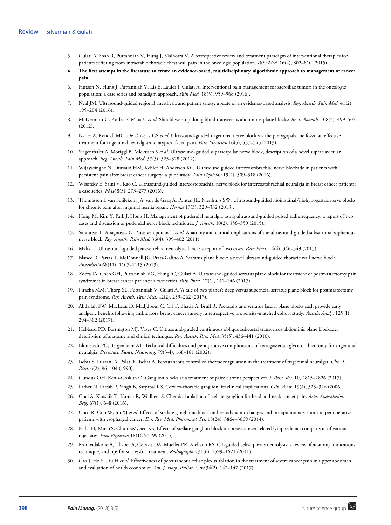- 5. Gulati A, Shah R, Puttanniah V, Hung J, Malhotra V. A retrospective review and treatment paradigm of interventional therapies for patients suffering from intractable thoracic chest wall pain in the oncologic population. *Pain Med.* 16(4), 802–810 (2015).
- **The first attempt in the literature to create an evidence-based, multidisciplinary, algorithmic approach to management of cancer pain.**
- Hutson N, Hung J, Puttanniah V, Lis E, Laufer I, Gulati A. Interventional pain management for sacroiliac tumors in the oncologic population: a case series and paradigm approach. *Pain Med.* 18(5), 959–968 (2016).
- 7. Neal JM. Ultrasound-guided regional anesthesia and patient safety: update of an evidence-based analysis. *Reg. Anesth. Pain Med.* 41(2), 195–204 (2016).
- 8. McDermott G, Korba E, Mata U *et al.* Should we stop doing blind transversus abdominis plane blocks? *Br. J. Anaesth.* 108(3), 499–502 (2012).
- 9. Nader A, Kendall MC, De Oliveria GS *et al.* Ultrasound-guided trigeminal nerve block via the pterygopalatine fossa: an effective treatment for trigeminal neuralgia and atypical facial pain. *Pain Physician* 16(5), 537–545 (2013).
- 10. Siegenthaler A, Moriggl B, Mlekusch S *et al.* Ultrasound-guided suprascapular nerve block, description of a novel supraclavicular approach. *Reg. Anesth. Pain Med.* 37(3), 325–328 (2012).
- 11. Wijayasinghe N, Duriaud HM, Kehlet H, Andersen KG. Ultrasound guided intercostobrachial nerve blockade in patients with persistent pain after breast cancer surgery: a pilot study. *Pain Physician* 19(2), 309–318 (2016).
- 12. Wisotzky E, Saini V, Kao C. Ultrasound-guided intercostobrachial nerve block for intercostobrachial neuralgia in breast cancer patients: a case series. *PMR* 8(3), 273–277 (2016).
- 13. Thomassen I, van Suijlekom JA, van de Gaag A, Ponten JE, Nienhuijs SW. Ultrasound-guided ilioinguinal/iliohypogastric nerve blocks for chronic pain after inguinal hernia repair. *Hernia* 17(3), 329–332 (2013).
- 14. Hong M, Kim Y, Park J, Hong H. Management of pudendal neuralgia using ultrasound-guided pulsed radiofrequency: a report of two cases and discussion of pudendal nerve block techniques. *J. Anesth.* 30(2), 356–359 (2015).
- 15. Saranteas T, Anagnostis G, Paraskeuopoulos T *et al.* Anatomy and clinical implications of the ultrasound-guided subsartorial saphenous nerve block. *Reg. Anesth. Pain Med.* 36(4), 399–402 (2011).
- 16. Malik T. Ultrasound-guided paravertebral neurolytic block: a report of two cases. *Pain Pract.* 14(4), 346–349 (2013).
- 17. Blanco R, Parras T, McDonnell JG, Prats-Galino A. Serratus plane block: a novel ultrasound-guided thoracic wall nerve block. *Anaesthesia* 68(11), 1107–1113 (2013).
- 18. Zocca JA, Chen GH, Puttanniah VG, Hung JC, Gulati A. Ultrasound-guided serratus plane block for treatment of postmastectomy pain syndromes in breast cancer patients: a case series. *Pain Pract.* 17(1), 141–146 (2017).
- 19. Piracha MM, Thorp SL, Puttanniah V, Gulati A. 'A tale of two planes': deep versus superficial serratus plane block for postmastectomy pain syndrome. *Reg. Anesth. Pain Med.* 42(2), 259–262 (2017).
- 20. Abdallah FW, MacLean D, Madjdpour C, Cil T, Bhatia A, Brull R. Pectoralis and serratus fascial plane blocks each provide early analgesic benefits following ambulatory breast cancer surgery: a retrospective propensity-matched cohort study. *Anesth. Analg.* 125(1), 294–302 (2017).
- 21. Hebbard PD, Barrington MJ, Vasey C. Ultrasound-guided continuous oblique subcostal transversus abdominis plane blockade: description of anatomy and clinical technique. *Reg. Anesth. Pain Med.* 35(5), 436–441 (2010).
- 22. Blomstedt PC, Bergenheim AT. Technical difficulties and perioperative complications of retrogasserian glycerol rhizotomy for trigeminal neuralgia. *Stereotact. Funct. Neurosurg.* 79(3-4), 168–181 (2002).
- 23. Ischia S, Luzzani A, Polati E, Ischia A. Percutaneous controlled thermocoagulation in the treatment of trigeminal neuralgia. *Clin. J. Pain.* 6(2), 96–104 (1990).
- 24. Gunduz OH, Kenis-Coskun O. Ganglion blocks as a treatment of pain: current perspectives. *J. Pain. Res.* 10, 2815–2826 (2017).
- 25. Pather N, Partab P, Singh B, Satyapal KS. Cervico-thoracic ganglion: its clinical implications. *Clin. Anat.* 19(4), 323–326 (2006).
- 26. Ghai A, Kaushik T, Kumar R, Wadhera S. Chemical ablation of stellate ganglion for head and neck cancer pain. *Acta. Anaesthesiol. Belg.* 67(1), 6–8 (2016).
- 27. Guo JR, Guo W, Jin XJ *et al.* Effects of stellate ganglionic block on hemodynamic changes and intrapulmonary shunt in perioperative patients with esophageal cancer. *Eur. Rev. Med. Pharmacol. Sci.* 18(24), 3864–3869 (2014).
- 28. Park JH, Min YS, Chun SM, Seo KS. Effects of stellate ganglion block on breast cancer-related lymphedema: comparison of various injectates. *Pain Physician* 18(1), 93–99 (2015).
- 29. Kambadakone A, Thabet A, Gervais DA, Mueller PR, Arellano RS. CT-guided celiac plexus neurolysis: a review of anatomy, indications, technique, and tips for successful treatment. *Radiographics* 31(6), 1599–1621 (2011).
- 30. Cao J, He Y, Liu H *et al.* Effectiveness of percutaneous celiac plexus ablation in the treatment of severe cancer pain in upper abdomen and evaluation of health economics. *Am. J. Hosp. Palliat. Care* 34(2), 142–147 (2017).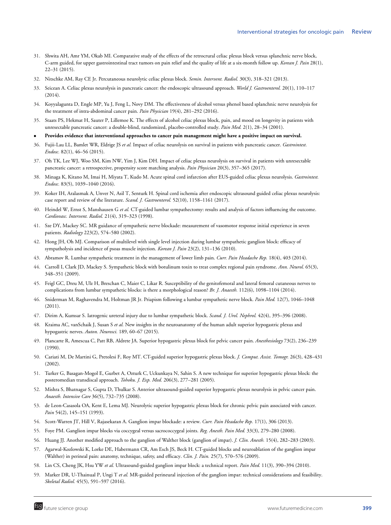- 31. Shwita AH, Amr YM, Okab MI. Comparative study of the effects of the retrocrural celiac plexus block versus splanchnic nerve block, C-arm guided, for upper gastrointestinal tract tumors on pain relief and the quality of life at a six-month follow up. *Korean J. Pain* 28(1), 22–31 (2015).
- 32. Nitschke AM, Ray CE Jr. Percutaneous neurolytic celiac plexus block. *Semin. Intervent. Radiol.* 30(3), 318–321 (2013).
- 33. Seicean A. Celiac plexus neurolysis in pancreatic cancer: the endoscopic ultrasound approach. *World J. Gastroenterol.* 20(1), 110–117  $(2014)$ .
- 34. Koyyalagunta D, Engle MP, Yu J, Feng L, Novy DM. The effectiveness of alcohol versus phenol based splanchnic nerve neurolysis for the treatment of intra-abdominal cancer pain. *Pain Physician* 19(4), 281–292 (2016).
- 35. Staats PS, Hekmat H, Sauter P, Lillemoe K. The effects of alcohol celiac plexus block, pain, and mood on longevity in patients with unresectable pancreatic cancer: a double-blind, randomized, placebo-controlled study. *Pain Med.* 2(1), 28–34 (2001).
- **Provides evidence that interventional approaches to cancer pain management might have a positive impact on survival.**
- 36. Fujii-Lau LL, Bamlet WR, Eldrige JS *et al.* Impact of celiac neurolysis on survival in patients with pancreatic cancer. *Gastrointest. Endosc.* 82(1), 46–56 (2015).
- 37. Oh TK, Lee WJ, Woo SM, Kim NW, Yim J, Kim DH. Impact of celiac plexus neurolysis on survival in patients with unresectable pancreatic cancer: a retrospective, propensity score matching analysis. *Pain Physician* 20(3), 357–365 (2017).
- 38. Minaga K, Kitano M, Imai H, Miyata T, Kudo M. Acute spinal cord infarction after EUS-guided celiac plexus neurolysis. *Gastrointest. Endosc.* 83(5), 1039–1040 (2016).
- 39. Koker IH, Aralasmak A, Unver N, Asil T, Senturk H. Spinal cord ischemia after endoscopic ultrasound guided celiac plexus neurolysis: case report and review of the literature. *Scand. J. Gastroenterol.* 52(10), 1158–1161 (2017).
- 40. Heindel W, Ernst S, Manshausen G *et al.* CT-guided lumbar sympathectomy: results and analysis of factors influencing the outcome. *Cardiovasc. Intervent. Radiol.* 21(4), 319–323 (1998).
- 41. Sze DY, Mackey SC. MR guidance of sympathetic nerve blockade: measurement of vasomotor response initial experience in seven patients. *Radiology* 223(2), 574–580 (2002).
- 42. Hong JH, Oh MJ. Comparison of multilevel with single level injection during lumbar sympathetic ganglion block: efficacy of sympatholysis and incidence of psoas muscle injection. *Korean J. Pain* 23(2), 131–136 (2010).
- 43. Abramov R. Lumbar sympathetic treatment in the management of lower limb pain. *Curr. Pain Headache Rep.* 18(4), 403 (2014).
- 44. Carroll I, Clark JD, Mackey S. Sympathetic block with botulinum toxin to treat complex regional pain syndrome. *Ann. Neurol.* 65(3), 348–351 (2009).
- 45. Feigl GC, Dreu M, Ulz H, Breschan C, Maier C, Likar R. Susceptibility of the genitofemoral and lateral femoral cutaneous nerves to complications from lumbar sympathetic blocks: is there a morphological reason? *Br. J. Anaesth.* 112(6), 1098–1104 (2014).
- 46. Sniderman M, Raghavendra M, Holtman JR Jr. Priapism following a lumbar sympathetic nerve block. *Pain Med.* 12(7), 1046–1048 (2011).
- 47. Dirim A, Kumsar S. Iatrogenic ureteral injury due to lumbar sympathetic block. *Scand. J. Urol. Nephrol.* 42(4), 395–396 (2008).
- 48. Kraima AC, vanSchaik J, Susan S *et al.* New insights in the neuroanatomy of the human adult superior hypogastric plexus and hypogastric nerves. *Auton. Neurosci.* 189, 60–67 (2015).
- 49. Plancarte R, Amescua C, Patt RB, Aldrete JA. Superior hypogastric plexus block for pelvic cancer pain. *Anesthesiology* 73(2), 236–239 (1990).
- 50. Cariati M, De Martini G, Pretolesi F, Roy MT. CT-guided superior hypogastric plexus block. *J. Comput. Assist. Tomogr.* 26(3), 428–431 (2002).
- 51. Turker G, Basagan-Mogol E, Gurbet A, Ozturk C, Uckunkaya N, Sahin S. A new technique for superior hypogastric plexus block: the posteromedian transdiscal approach. *Tohoku. J. Exp. Med.* 206(3), 277–281 (2005).
- 52. Mishra S, Bhatnagar S, Gupta D, Thulkar S. Anterior ultrasound-guided superior hypogastric plexus neurolysis in pelvic cancer pain. *Anaesth. Intensive Care* 36(5), 732–735 (2008).
- 53. de Leon-Casasola OA, Kent E, Lema MJ. Neurolytic superior hypogastric plexus block for chronic pelvic pain associated with cancer. *Pain* 54(2), 145–151 (1993).
- 54. Scott-Warren JT, Hill V, Rajasekaran A. Ganglion impar blockade: a review. *Curr. Pain Headache Rep.* 17(1), 306 (2013).
- 55. Foye PM. Ganglion impar blocks via coccygeal versus sacrococcygeal joints. *Reg. Anesth. Pain Med.* 33(3), 279–280 (2008).
- 56. Huang JJ. Another modified approach to the ganglion of Walther block (ganglion of impar). *J. Clin. Anesth.* 15(4), 282–283 (2003).
- 57. Agarwal-Kozlowski K, Lorke DE, Habermann CR, Am Esch JS, Beck H. CT-guided blocks and neuroablation of the ganglion impar (Walther) in perineal pain: anatomy, technique, safety, and efficacy. *Clin. J. Pain.* 25(7), 570–576 (2009).
- 58. Lin CS, Cheng JK, Hsu YW *et al.* Ultrasound-guided ganglion impar block: a technical report. *Pain Med.* 11(3), 390–394 (2010).
- 59. Marker DR, U-Thainual P, Ungi T *et al.* MR-guided perineural injection of the ganglion impar: technical considerations and feasibility. *Skeletal Radiol.* 45(5), 591–597 (2016).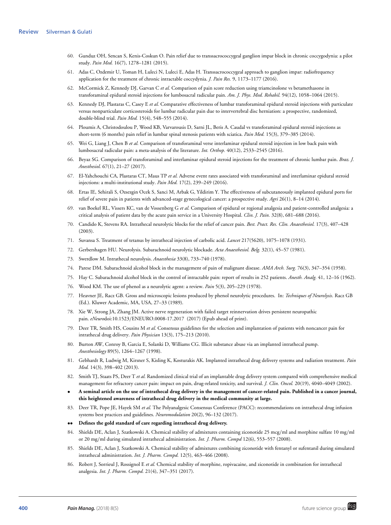- 60. Gunduz OH, Sencan S, Kenis-Coskun O. Pain relief due to transsacrococcygeal ganglion impar block in chronic coccygodynia: a pilot study. *Pain Med.* 16(7), 1278–1281 (2015).
- 61. Adas C, Ozdemir U, Toman H, Luleci N, Luleci E, Adas H. Transsacrococcygeal approach to ganglion impar: radiofrequency application for the treatment of chronic intractable coccydynia. *J. Pain Res.* 9, 1173–1177 (2016).
- 62. McCormick Z, Kennedy DJ, Garvan C *et al.* Comparison of pain score reduction using triamcinolone vs betamethasone in transforaminal epidural steroid injections for lumbosacral radicular pain. *Am. J. Phys. Med. Rehabil.* 94(12), 1058–1064 (2015).
- 63. Kennedy DJ, Plastaras C, Casey E *et al.* Comparative effectiveness of lumbar transforaminal epidural steroid injections with particulate versus nonparticulate corticosteroids for lumbar radicular pain due to intervertebral disc herniation: a prospective, randomized, double-blind trial. *Pain Med.* 15(4), 548–555 (2014).
- 64. Ploumis A, Christodoulou P, Wood KB, Varvarousis D, Sarni JL, Beris A. Caudal vs transforaminal epidural steroid injections as short-term (6 months) pain relief in lumbar spinal stenosis patients with sciatica. *Pain Med.* 15(3), 379–385 (2014).
- 65. Wei G, Liang J, Chen B *et al.* Comparison of transforaminal verse interlaminar epidural steroid injection in low back pain with lumbosacral radicular pain: a meta-analysis of the literature. *Int. Orthop.* 40(12), 2533–2545 (2016).
- 66. Beyaz SG. Comparison of transforaminal and interlaminar epidural steroid injections for the treatment of chronic lumbar pain. *Braz. J. Anesthesiol.* 67(1), 21–27 (2017).
- 67. El-Yahchouchi CA, Plastaras CT, Maus TP *et al.* Adverse event rates associated with transforaminal and interlaminar epidural steroid injections: a multi-institutional study. *Pain Med.* 17(2), 239–249 (2016).
- 68. Ertas IE, Sehirali S, Ozsezgin Ocek S, Sanci M, Arbak G, Yildirim Y. The effectiveness of subcutaneously implanted epidural ports for relief of severe pain in patients with advanced-stage gynecological cancer: a prospective study. *Agri* 26(1), 8–14 (2014).
- 69. van Boekel RL, Vissers KC, van de Vossenberg G *et al.* Comparison of epidural or regional analgesia and patient-controlled analgesia: a critical analysis of patient data by the acute pain service in a University Hospital. *Clin. J. Pain.* 32(8), 681–688 (2016).
- 70. Candido K, Stevens RA. Intrathecal neurolytic blocks for the relief of cancer pain. *Best. Pract. Res. Clin. Anaesthesiol.* 17(3), 407–428 (2003).
- 71. Suvansa S. Treatment of tetanus by intrathecal injection of carbolic acid. *Lancet* 217(5620), 1075–1078 (1931).
- 72. Gerbershagen HU. Neurolysis. Subarachnoid neurolytic blockade. *Acta Anaesthesiol. Belg.* 32(1), 45–57 (1981).
- 73. Swerdlow M. Intrathecal neurolysis. *Anaesthesia* 33(8), 733–740 (1978).
- 74. Parese DM. Subarachnoid alcohol block in the management of pain of malignant disease. *AMA Arch. Surg.* 76(3), 347–354 (1958).
- 75. Hay C. Subarachnoid alcohol block in the control of intractable pain: report of results in 252 patients. *Anesth. Analg.* 41, 12–16 (1962).
- 76. Wood KM. The use of phenol as a neurolytic agent: a review. *Pain* 5(3), 205–229 (1978).
- 77. Heavner JE, Racz GB. Gross and microscopic lesions produced by phenol neurolytic procedures. In: *Techniques of Neurolysis*. Racz GB (Ed.). Kluwer Academic, MA, USA, 27–33 (1989).
- 78. Xie W, Strong JA, Zhang JM. Active nerve regeneration with failed target reinnervation drives persistent neuropathic pain. *eNeuro*doi:10.1523/ENEURO.0008-17.2017 (2017) (Epub ahead of print).
- 79. Deer TR, Smith HS, Cousins M *et al.* Consensus guidelines for the selection and implantation of patients with noncancer pain for intrathecal drug delivery. *Pain Physician* 13(3), 175–213 (2010).
- 80. Burton AW, Conroy B, Garcia E, Solanki D, Williams CG. Illicit substance abuse via an implanted intrathecal pump. *Anesthesiology* 89(5), 1264–1267 (1998).
- 81. Gebhardt R, Ludwig M, Kirsner S, Kisling K, Kosturakis AK. Implanted intrathecal drug delivery systems and radiation treatment. *Pain Med.* 14(3), 398–402 (2013).
- 82. Smith TJ, Staats PS, Deer T *et al.* Randomized clinical trial of an implantable drug delivery system compared with comprehensive medical management for refractory cancer pain: impact on pain, drug-related toxicity, and survival. *J. Clin. Oncol.* 20(19), 4040–4049 (2002).
- **A seminal article on the use of intrathecal drug delivery in the management of cancer-related pain. Published in a cancer journal, this heightened awareness of intrathecal drug delivery in the medical community at large.**
- 83. Deer TR, Pope JE, Hayek SM *et al.* The Polyanalgesic Consensus Conference (PACC): recommendations on intrathecal drug infusion systems best practices and guidelines. *Neuromodulation* 20(2), 96–132 (2017).
- •• **Defines the gold standard of care regarding intrathecal drug delivery.**
- 84. Shields DE, Aclan J, Szatkowski A. Chemical stability of admixtures containing ziconotide 25 mcg/ml and morphine sulfate 10 mg/ml or 20 mg/ml during simulated intrathecal administration. *Int. J. Pharm. Compd* 12(6), 553–557 (2008).
- 85. Shields DE, Aclan J, Szatkowski A. Chemical stability of admixtures combining ziconotide with fentanyl or sufentanil during simulated intrathecal administration. *Int. J. Pharm. Compd.* 12(5), 463–466 (2008).
- 86. Robert J, Sorrieul J, Rossignol E *et al.* Chemical stability of morphine, ropivacaine, and ziconotide in combination for intrathecal analgesia. *Int. J. Pharm. Compd.* 21(4), 347–351 (2017).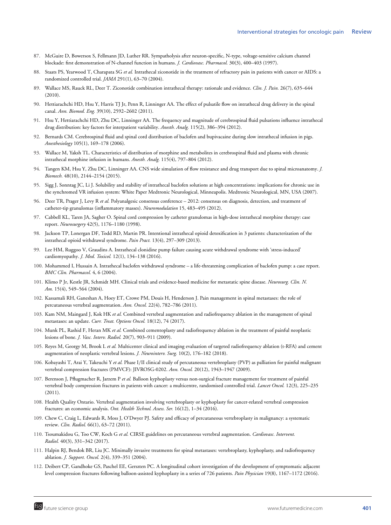- 87. McGuire D, Bowersox S, Fellmann JD, Luther RR. Sympatholysis after neuron-specific, N-type, voltage-sensitive calcium channel blockade: first demonstration of N-channel function in humans. *J. Cardiovasc. Pharmacol.* 30(3), 400–403 (1997).
- 88. Staats PS, Yearwood T, Charapata SG *et al.* Intrathecal ziconotide in the treatment of refractory pain in patients with cancer or AIDS: a randomized controlled trial. *JAMA* 291(1), 63–70 (2004).
- 89. Wallace MS, Rauck RL, Deer T. Ziconotide combination intrathecal therapy: rationale and evidence. *Clin. J. Pain.* 26(7), 635–644 (2010).
- 90. Hettiarachchi HD, Hsu Y, Harris TJ Jr, Penn R, Linninger AA. The effect of pulsatile flow on intrathecal drug delivery in the spinal canal. *Ann. Biomed. Eng.* 39(10), 2592–2602 (2011).
- 91. Hsu Y, Hettiarachchi HD, Zhu DC, Linninger AA. The frequency and magnitude of cerebrospinal fluid pulsations influence intrathecal drug distribution: key factors for interpatient variability. *Anesth. Analg.* 115(2), 386–394 (2012).
- 92. Bernards CM. Cerebrospinal fluid and spinal cord distribution of baclofen and bupivacaine during slow intrathecal infusion in pigs. *Anesthesiology* 105(1), 169–178 (2006).
- 93. Wallace M, Yaksh TL. Characteristics of distribution of morphine and metabolites in cerebrospinal fluid and plasma with chronic intrathecal morphine infusion in humans. *Anesth. Analg.* 115(4), 797–804 (2012).
- 94. Tangen KM, Hsu Y, Zhu DC, Linninger AA. CNS wide simulation of flow resistance and drug transport due to spinal microanatomy. *J. Biomech.* 48(10), 2144–2154 (2015).
- 95. Sigg J, Sonntag JC, Li J. Solubility and stability of intrathecal baclofen solutions at high concentrations: implications for chronic use in the synchromed VR infusion system: White Paper Medtronic Neurological, Minneapolis. Medtronic Neurological, MN, USA (2007).
- 96. Deer TR, Prager J, Levy R *et al.* Polyanalgesic consensus conference 2012: consensus on diagnosis, detection, and treatment of catheter-tip granulomas (inflammatory masses). *Neuromodulation* 15, 483–495 (2012).
- 97. Cabbell KL, Taren JA, Sagher O. Spinal cord compression by catheter granulomas in high-dose intrathecal morphine therapy: case report. *Neurosurgery* 42(5), 1176–1180 (1998).
- 98. Jackson TP, Lonergan DF, Todd RD, Martin PR. Intentional intrathecal opioid detoxification in 3 patients: characterization of the intrathecal opioid withdrawal syndrome. *Pain Pract.* 13(4), 297–309 (2013).
- 99. Lee HM, Ruggoo V, Graudins A. Intrathecal clonidine pump failure causing acute withdrawal syndrome with 'stress-induced' cardiomyopathy. *J. Med. Toxicol.* 12(1), 134–138 (2016).
- 100. Mohammed I, Hussain A. Intrathecal baclofen withdrawal syndrome a life-threatening complication of baclofen pump: a case report. *BMC Clin. Pharmacol.* 4, 6 (2004).
- 101. Klimo P Jr, Kestle JR, Schmidt MH. Clinical trials and evidence-based medicine for metastatic spine disease. *Neurosurg. Clin. N. Am.* 15(4), 549–564 (2004).
- 102. Kassamali RH, Ganeshan A, Hoey ET, Crowe PM, Douis H, Henderson J. Pain management in spinal metastases: the role of percutaneous vertebral augmentation. *Ann. Oncol.* 22(4), 782–786 (2011).
- 103. Kam NM, Maingard J, Kok HK *et al.* Combined vertebral augmentation and radiofrequency ablation in the management of spinal metastases: an update. *Curr. Treat. Options Oncol.* 18(12), 74 (2017).
- 104. Munk PL, Rashid F, Heran MK *et al.* Combined cementoplasty and radiofrequency ablation in the treatment of painful neoplastic lesions of bone. *J. Vasc. Interv. Radiol.* 20(7), 903–911 (2009).
- 105. Reyes M, Georgy M, Brook L *et al.* Multicenter clinical and imaging evaluation of targeted radiofrequency ablation (t-RFA) and cement augmentation of neoplastic vertebral lesions. *J. Neurointerv. Surg.* 10(2), 176–182 (2018).
- 106. Kobayashi T, Arai Y, Takeuchi Y *et al.* Phase I/II clinical study of percutaneous vertebroplasty (PVP) as palliation for painful malignant vertebral compression fractures (PMVCF): JIVROSG-0202. *Ann. Oncol.* 20(12), 1943–1947 (2009).
- 107. Berenson J, Pflugmacher R, Jarzem P *et al.* Balloon kyphoplasty versus non-surgical fracture management for treatment of painful vertebral body compression fractures in patients with cancer: a multicentre, randomised controlled trial. *Lancet Oncol.* 12(3), 225–235 (2011).
- 108. Health Quality Ontario. Vertebral augmentation involving vertebroplasty or kyphoplasty for cancer-related vertebral compression fractures: an economic analysis. *Ont. Health Technol. Assess. Ser.* 16(12), 1–34 (2016).
- 109. Chew C, Craig L, Edwards R, Moss J, O'Dwyer PJ. Safety and efficacy of percutaneous vertebroplasty in malignancy: a systematic review. *Clin. Radiol.* 66(1), 63–72 (2011).
- 110. Tsoumakidou G, Too CW, Koch G *et al.* CIRSE guidelines on percutaneous vertebral augmentation. *Cardiovasc. Intervent. Radiol.* 40(3), 331–342 (2017).
- 111. Halpin RJ, Bendok BR, Liu JC. Minimally invasive treatments for spinal metastases: vertebroplasty, kyphoplasty, and radiofrequency ablation. *J. Support. Oncol.* 2(4), 339–351 (2004).
- 112. Deibert CP, Gandhoke GS, Paschel EE, Gerszten PC. A longitudinal cohort investigation of the development of symptomatic adjacent level compression fractures following balloon-assisted kyphoplasty in a series of 726 patients. *Pain Physician* 19(8), 1167–1172 (2016).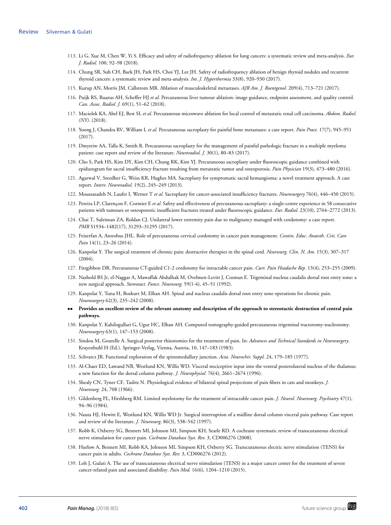- 113. Li G, Xue M, Chen W, Yi S. Efficacy and safety of radiofrequency ablation for lung cancers: a systematic review and meta-analysis. *Eur. J. Radiol.* 100, 92–98 (2018).
- 114. Chung SR, Suh CH, Baek JH, Park HS, Choi YJ, Lee JH. Safety of radiofrequency ablation of benign thyroid nodules and recurrent thyroid cancers: a systematic review and meta-analysis. *Int. J. Hyperthermia* 33(8), 920–930 (2017).
- 115. Kurup AN, Morris JM, Callstrom MR. Ablation of musculoskeletal metastases. *AJR Am. J. Roentgenol.* 209(4), 713–721 (2017).
- 116. Puijk RS, Ruarus AH, Scheffer HJ *et al.* Percutaneous liver tumour ablation: image guidance, endpoint assessment, and quality control. *Can. Assoc. Radiol. J.* 69(1), 51–62 (2018).
- 117. Maciolek KA, Abel EJ, Best SL *et al.* Percutaneous microwave ablation for local control of metastatic renal cell carcinoma. *Abdom. Radiol. (NY).* (2018).
- 118. Yoong J, Chandra RV, William L *et al.* Percutaneous sacroplasty for painful bone metastases: a case report. *Pain Pract.* 17(7), 945–951 (2017).
- 119. Dmytriw AA, Talla K, Smith R. Percutaneous sacroplasty for the management of painful pathologic fracture in a multiple myeloma patient: case report and review of the literature. *Neuroradiol. J.* 30(1), 80–83 (2017).
- 120. Cho S, Park HS, Kim DY, Kim CH, Chung RK, Kim YJ. Percutaneous sacroplasty under fluoroscopic guidance combined with epidurogram for sacral insufficiency fracture resulting from metastatic tumor and osteoporosis. *Pain Physician* 19(3), 473–480 (2016).
- 121. Agarwal V, Sreedher G, Weiss KR, Hughes MA. Sacroplasty for symptomatic sacral hemangioma: a novel treatment approach. A case report. *Interv. Neuroradiol.* 19(2), 245–249 (2013).
- 122. Moussazadeh N, Laufer I, Werner T *et al.* Sacroplasty for cancer-associated insufficiency fractures. *Neurosurgery* 76(4), 446–450 (2015).
- 123. Pereira LP, Clarençon F, Cormier E et al. Safety and effectiveness of percutaneous sacroplasty: a single-centre experience in 58 consecutive patients with tumours or osteoporotic insufficient fractures treated under fluoroscopic guidance. *Eur. Radiol.* 23(10), 2764–2772 (2013).
- 124. Chai T, Suleiman ZA, Roldan CJ. Unilateral lower extremity pain due to malignancy managed with cordotomy: a case report. *PMR* S1934–1482(17), 31293–31295 (2017).
- 125. Feizerfan A, Antrobus JHL. Role of percutaneous cervical cordotomy in cancer pain management. *Contin. Educ. Anaesth. Crit. Care Pain* 14(1), 23–26 (2014).
- 126. Kanpolat Y. The surgical treatment of chronic pain: destructive therapies in the spinal cord. *Neurosurg. Clin. N. Am.* 15(3), 307–317 (2004).
- 127. Fitzgibbon DR. Percutaneous CT-guided C1-2 cordotomy for intractable cancer pain. *Curr. Pain Headache Rep.* 13(4), 253–255 (2009).
- 128. Nashold BS Jr, el-Naggar A, Mawaffak Abdulhak M, Ovelmen-Levitt J, Cosman E. Trigeminal nucleus caudalis dorsal root entry zone: a new surgical approach. *Stereotact. Funct. Neurosurg.* 59(1-4), 45–51 (1992).
- 129. Kanpolat Y, Tuna H, Bozkurt M, Elhan AH. Spinal and nucleus caudalis dorsal root entry zone operations for chronic pain. *Neurosurgery* 62(3), 235–242 (2008).
- •• **Provides an excellent review of the relevant anatomy and description of the approach to stereotactic destruction of central pain pathways.**
- 130. Kanpolat Y, Kahilogullari G, Ugur HC, Elhan AH. Computed tomography-guided percutaneous trigeminal tractotomy-nucleotomy. *Neurosurgery* 63(1), 147–153 (2008).
- 131. Sindou M, Goutelle A. Surgical posterior rhizotomies for the treatment of pain. In: *Advances and Technical Standards in Neurosurgery*. Krayenbuhl H (Ed.). Springer-Verlag, Vienna, Austria, 10, 147–183 (1983).
- 132. Schvarcz JR. Functional exploration of the spinomedullary junction. *Acta. Neurochir. Suppl.* 24, 179–185 (1977).
- 133. Al-Chaer ED, Lawand NB, Westlund KN, Willis WD. Visceral nociceptive input into the ventral posterolateral nucleus of the thalamus: a new function for the dorsal column pathway. *J. Neurophysiol.* 76(4), 2661–2674 (1996).
- 134. Shealy CN, Tyner CF, Taslitz N. Physiological evidence of bilateral spinal projections of pain fibers in cats and monkeys. *J. Neurosurg.* 24, 708 (1966).
- 135. Gildenberg PL, Hirshberg RM. Limited myelotomy for the treatment of intractable cancer pain. *J. Neurol. Neurosurg. Psychiatry* 47(1), 94–96 (1984).
- 136. Nauta HJ, Hewitt E, Westlund KN, Willis WD Jr. Surgical interruption of a midline dorsal column visceral pain pathway. Case report and review of the literature. *J. Neurosurg.* 86(3), 538–542 (1997).
- 137. Robb K, Oxberry SG, Bennett MI, Johnson MI, Simpson KH, Searle RD. A cochrane systematic review of transcutaneous electrical nerve stimulation for cancer pain. *Cochrane Database Syst. Rev.* 3, CD006276 (2008).
- 138. Hurlow A, Bennett MI, Robb KA, Johnson MI, Simpson KH, Oxberry SG. Transcutaneous electric nerve stimulation (TENS) for cancer pain in adults. *Cochrane Database Syst. Rev.* 3, CD006276 (2012).
- 139. Loh J, Gulati A. The use of transcutaneous electrical nerve stimulation (TENS) in a major cancer center for the treatment of severe cancer-related pain and associated disability. *Pain Med.* 16(6), 1204–1210 (2015).